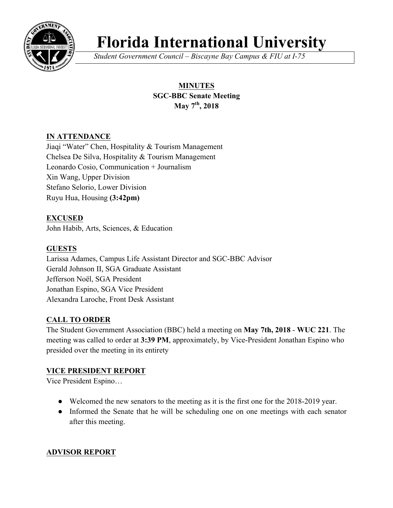

# **Florida International University**

*Student Government Council – Biscayne Bay Campus & FIU at I-75*

# **MINUTES SGC-BBC Senate Meeting May 7th, 2018**

## **IN ATTENDANCE**

Jiaqi "Water" Chen, Hospitality & Tourism Management Chelsea De Silva, Hospitality & Tourism Management Leonardo Cosio, Communication + Journalism Xin Wang, Upper Division Stefano Selorio, Lower Division Ruyu Hua, Housing **(3:42pm)**

**EXCUSED** John Habib, Arts, Sciences, & Education

## **GUESTS**

Larissa Adames, Campus Life Assistant Director and SGC-BBC Advisor Gerald Johnson II, SGA Graduate Assistant Jefferson Noël, SGA President Jonathan Espino, SGA Vice President Alexandra Laroche, Front Desk Assistant

## **CALL TO ORDER**

The Student Government Association (BBC) held a meeting on **May 7th, 2018** - **WUC 221**. The meeting was called to order at **3:39 PM**, approximately, by Vice-President Jonathan Espino who presided over the meeting in its entirety

## **VICE PRESIDENT REPORT**

Vice President Espino…

- Welcomed the new senators to the meeting as it is the first one for the 2018-2019 year.
- Informed the Senate that he will be scheduling one on one meetings with each senator after this meeting.

## **ADVISOR REPORT**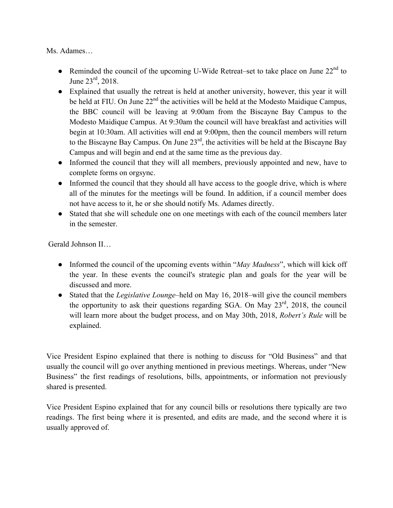Ms. Adames…

- Reminded the council of the upcoming U-Wide Retreat–set to take place on June  $22<sup>nd</sup>$  to June  $23^{\text{rd}}$ , 2018.
- Explained that usually the retreat is held at another university, however, this year it will be held at FIU. On June 22<sup>nd</sup> the activities will be held at the Modesto Maidique Campus, the BBC council will be leaving at 9:00am from the Biscayne Bay Campus to the Modesto Maidique Campus. At 9:30am the council will have breakfast and activities will begin at 10:30am. All activities will end at 9:00pm, then the council members will return to the Biscayne Bay Campus. On June 23rd, the activities will be held at the Biscayne Bay Campus and will begin and end at the same time as the previous day.
- Informed the council that they will all members, previously appointed and new, have to complete forms on orgsync.
- Informed the council that they should all have access to the google drive, which is where all of the minutes for the meetings will be found. In addition, if a council member does not have access to it, he or she should notify Ms. Adames directly.
- Stated that she will schedule one on one meetings with each of the council members later in the semester.

Gerald Johnson II…

- Informed the council of the upcoming events within "*May Madness*", which will kick off the year. In these events the council's strategic plan and goals for the year will be discussed and more.
- Stated that the *Legislative Lounge*–held on May 16, 2018–will give the council members the opportunity to ask their questions regarding SGA. On May 23rd, 2018, the council will learn more about the budget process, and on May 30th, 2018, *Robert's Rule* will be explained.

Vice President Espino explained that there is nothing to discuss for "Old Business" and that usually the council will go over anything mentioned in previous meetings. Whereas, under "New Business" the first readings of resolutions, bills, appointments, or information not previously shared is presented.

Vice President Espino explained that for any council bills or resolutions there typically are two readings. The first being where it is presented, and edits are made, and the second where it is usually approved of.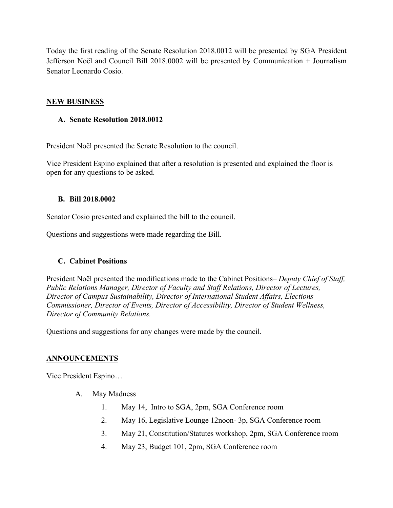Today the first reading of the Senate Resolution 2018.0012 will be presented by SGA President Jefferson Noël and Council Bill 2018.0002 will be presented by Communication + Journalism Senator Leonardo Cosio.

#### **NEW BUSINESS**

#### **A. Senate Resolution 2018.0012**

President Noël presented the Senate Resolution to the council.

Vice President Espino explained that after a resolution is presented and explained the floor is open for any questions to be asked.

#### **B. Bill 2018.0002**

Senator Cosio presented and explained the bill to the council.

Questions and suggestions were made regarding the Bill.

## **C. Cabinet Positions**

President Noël presented the modifications made to the Cabinet Positions– *Deputy Chief of Staff, Public Relations Manager, Director of Faculty and Staff Relations, Director of Lectures, Director of Campus Sustainability, Director of International Student Affairs, Elections Commissioner, Director of Events, Director of Accessibility, Director of Student Wellness, Director of Community Relations.*

Questions and suggestions for any changes were made by the council.

## **ANNOUNCEMENTS**

Vice President Espino…

- A. May Madness
	- 1. May 14, Intro to SGA, 2pm, SGA Conference room
	- 2. May 16, Legislative Lounge 12noon- 3p, SGA Conference room
	- 3. May 21, Constitution/Statutes workshop, 2pm, SGA Conference room
	- 4. May 23, Budget 101, 2pm, SGA Conference room